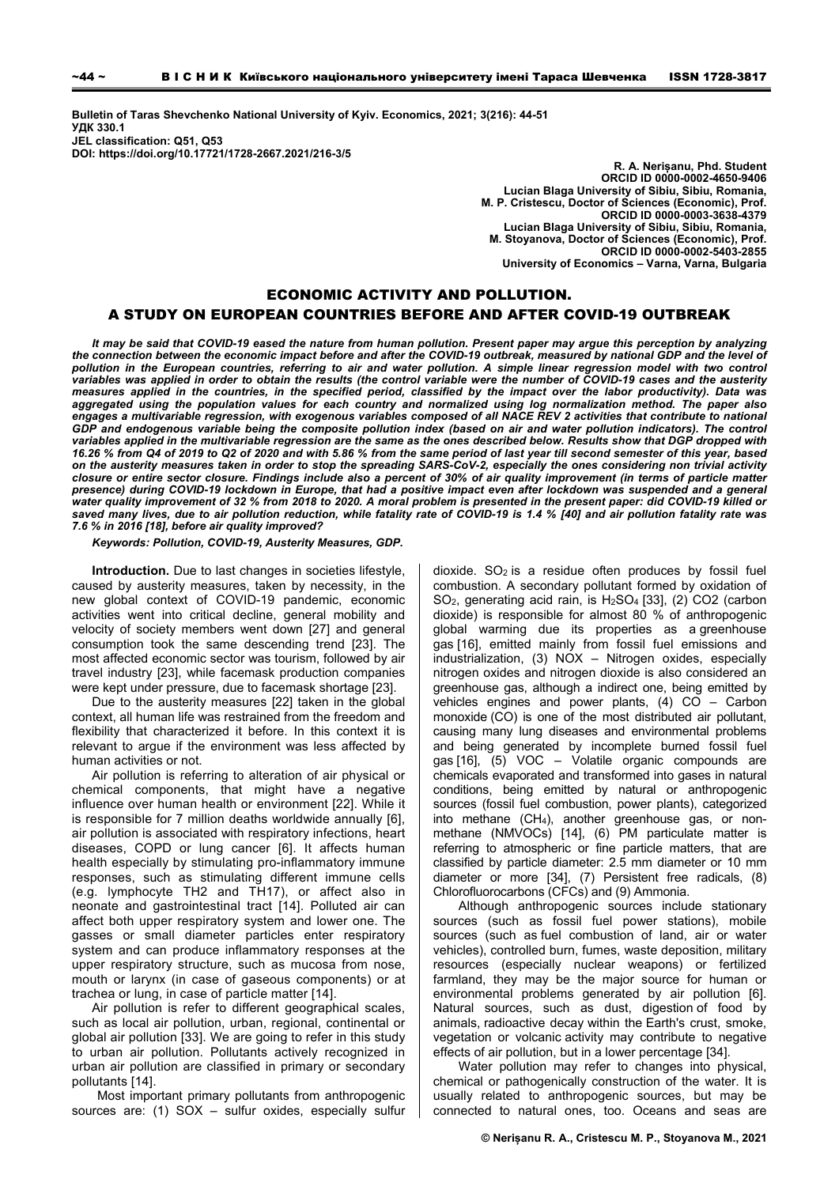**Bulletin of Taras Shevchenko National University of Kyiv. Economics, 2021; 3(216): 44-51 УДК 330.1 JEL classification: Q51, Q53 DOI: https://doi.org/10.17721/1728-2667.2021/216-3/5** 

> **R. A. Nerișanu, Phd. Student ORCID ІD 0000-0002-4650-9406 Lucian Blaga University of Sibiu, Sibiu, Romania, M. P. Cristescu, Doctor of Sciences (Economic), Prof. ORCID ІD 0000-0003-3638-4379 Lucian Blaga University of Sibiu, Sibiu, Romania, M. Stoyanova, Doctor of Sciences (Economic), Prof. ORCID ІD 0000-0002-5403-2855 University of Economics – Varna, Varna, Bulgaria**

# ECONOMIC ACTIVITY AND POLLUTION. A STUDY ON EUROPEAN COUNTRIES BEFORE AND AFTER COVID-19 OUTBREAK

*It may be said that COVID-19 eased the nature from human pollution. Present paper may argue this perception by analyzing the connection between the economic impact before and after the COVID-19 outbreak, measured by national GDP and the level of*  pollution in the European countries, referring to air and water pollution. A simple linear regression model with two control *variables was applied in order to obtain the results (the control variable were the number of COVID-19 cases and the austerity measures applied in the countries, in the specified period, classified by the impact over the labor productivity). Data was aggregated using the population values for each country and normalized using log normalization method. The paper also engages a multivariable regression, with exogenous variables composed of all NACE REV 2 activities that contribute to national*  GDP and endogenous variable being the composite pollution index (based on air and water pollution indicators). The control *variables applied in the multivariable regression are the same as the ones described below. Results show that DGP dropped with 16.26 % from Q4 of 2019 to Q2 of 2020 and with 5.86 % from the same period of last year till second semester of this year, based on the austerity measures taken in order to stop the spreading SARS-CoV-2, especially the ones considering non trivial activity closure or entire sector closure. Findings include also a percent of 30% of air quality improvement (in terms of particle matter presence) during COVID-19 lockdown in Europe, that had a positive impact even after lockdown was suspended and a general water quality improvement of 32 % from 2018 to 2020. A moral problem is presented in the present paper: did COVID-19 killed or saved many lives, due to air pollution reduction, while fatality rate of COVID-19 is 1.4 % [40] and air pollution fatality rate was 7.6 % in 2016 [18], before air quality improved?* 

*Keywords: Pollution, COVID-19, Austerity Measures, GDP.* 

**Introduction.** Due to last changes in societies lifestyle, caused by austerity measures, taken by necessity, in the new global context of COVID-19 pandemic, economic activities went into critical decline, general mobility and velocity of society members went down [27] and general consumption took the same descending trend [23]. The most affected economic sector was tourism, followed by air travel industry [23], while facemask production companies were kept under pressure, due to facemask shortage [23].

Due to the austerity measures [22] taken in the global context, all human life was restrained from the freedom and flexibility that characterized it before. In this context it is relevant to argue if the environment was less affected by human activities or not.

Air pollution is referring to alteration of air physical or chemical components, that might have a negative influence over human health or environment [22]. While it is responsible for 7 million deaths worldwide annually [6], air pollution is associated with respiratory infections, heart diseases, COPD or lung cancer [6]. It affects human health especially by stimulating pro-inflammatory immune responses, such as stimulating different immune cells (e.g. lymphocyte TH2 and TH17), or affect also in neonate and gastrointestinal tract [14]. Polluted air can affect both upper respiratory system and lower one. The gasses or small diameter particles enter respiratory system and can produce inflammatory responses at the upper respiratory structure, such as mucosa from nose, mouth or larynx (in case of gaseous components) or at trachea or lung, in case of particle matter [14].

Air pollution is refer to different geographical scales, such as local air pollution, urban, regional, continental or global air pollution [33]. We are going to refer in this study to urban air pollution. Pollutants actively recognized in urban air pollution are classified in primary or secondary pollutants [14].

Most important primary pollutants from anthropogenic sources are: (1) SOX – sulfur oxides, especially sulfur

dioxide.  $SO<sub>2</sub>$  is a residue often produces by fossil fuel combustion. A secondary pollutant formed by oxidation of SO2, generating acid rain, is H2SO4 [33], (2) CO2 (carbon dioxide) is responsible for almost 80 % of anthropogenic global warming due its properties as a greenhouse gas [16], emitted mainly from fossil fuel emissions and industrialization, (3) NOX – Nitrogen oxides, especially nitrogen oxides and nitrogen dioxide is also considered an greenhouse gas, although a indirect one, being emitted by vehicles engines and power plants, (4) CO – Carbon monoxide (CO) is one of the most distributed air pollutant, causing many lung diseases and environmental problems and being generated by incomplete burned fossil fuel gas [16], (5) VOC – Volatile organic compounds are chemicals evaporated and transformed into gases in natural conditions, being emitted by natural or anthropogenic sources (fossil fuel combustion, power plants), categorized into methane (CH4), another greenhouse gas, or nonmethane (NMVOCs) [14], (6) PM particulate matter is referring to atmospheric or fine particle matters, that are classified by particle diameter: 2.5 mm diameter or 10 mm diameter or more [34], (7) Persistent free radicals, (8) Chlorofluorocarbons (CFCs) and (9) Ammonia.

Although anthropogenic sources include stationary sources (such as fossil fuel power stations), mobile sources (such as fuel combustion of land, air or water vehicles), controlled burn, fumes, waste deposition, military resources (especially nuclear weapons) or fertilized farmland, they may be the major source for human or environmental problems generated by air pollution [6]. Natural sources, such as dust, digestion of food by animals, radioactive decay within the Earth's crust, smoke, vegetation or volcanic activity may contribute to negative effects of air pollution, but in a lower percentage [34].

Water pollution may refer to changes into physical, chemical or pathogenically construction of the water. It is usually related to anthropogenic sources, but may be connected to natural ones, too. Oceans and seas are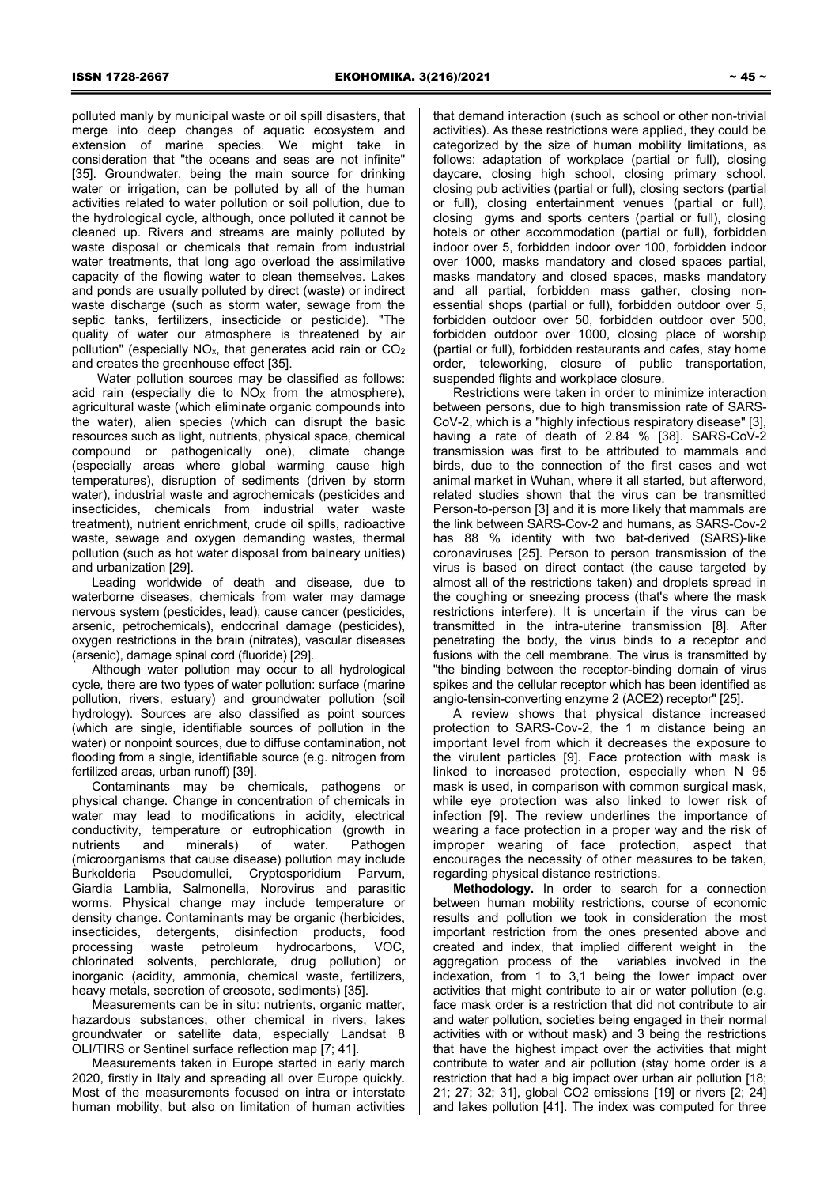polluted manly by municipal waste or oil spill disasters, that merge into deep changes of aquatic ecosystem and extension of marine species. We might take in consideration that "the oceans and seas are not infinite" [35]. Groundwater, being the main source for drinking water or irrigation, can be polluted by all of the human activities related to water pollution or soil pollution, due to the hydrological cycle, although, once polluted it cannot be cleaned up. Rivers and streams are mainly polluted by waste disposal or chemicals that remain from industrial water treatments, that long ago overload the assimilative capacity of the flowing water to clean themselves. Lakes and ponds are usually polluted by direct (waste) or indirect waste discharge (such as storm water, sewage from the septic tanks, fertilizers, insecticide or pesticide). "The quality of water our atmosphere is threatened by air pollution" (especially NOx, that generates acid rain or CO2 and creates the greenhouse effect [35].

Water pollution sources may be classified as follows: acid rain (especially die to  $NOS<sub>X</sub>$  from the atmosphere), agricultural waste (which eliminate organic compounds into the water), alien species (which can disrupt the basic resources such as light, nutrients, physical space, chemical compound or pathogenically one), climate change (especially areas where global warming cause high temperatures), disruption of sediments (driven by storm water), industrial waste and agrochemicals (pesticides and insecticides, chemicals from industrial water waste treatment), nutrient enrichment, crude oil spills, radioactive waste, sewage and oxygen demanding wastes, thermal pollution (such as hot water disposal from balneary unities) and urbanization [29].

Leading worldwide of death and disease, due to waterborne diseases, chemicals from water may damage nervous system (pesticides, lead), cause cancer (pesticides, arsenic, petrochemicals), endocrinal damage (pesticides), oxygen restrictions in the brain (nitrates), vascular diseases (arsenic), damage spinal cord (fluoride) [29].

Although water pollution may occur to all hydrological cycle, there are two types of water pollution: surface (marine pollution, rivers, estuary) and groundwater pollution (soil hydrology). Sources are also classified as point sources (which are single, identifiable sources of pollution in the water) or nonpoint sources, due to diffuse contamination, not flooding from a single, identifiable source (e.g. nitrogen from fertilized areas, urban runoff) [39].

Contaminants may be chemicals, pathogens or physical change. Change in concentration of chemicals in water may lead to modifications in acidity, electrical conductivity, temperature or eutrophication (growth in nutrients and minerals) of water. Pathogen (microorganisms that cause disease) pollution may include Burkolderia Pseudomullei, Cryptosporidium Parvum, Giardia Lamblia, Salmonella, Norovirus and parasitic worms. Physical change may include temperature or density change. Contaminants may be organic (herbicides, insecticides, detergents, disinfection products, food processing waste petroleum hydrocarbons, VOC, chlorinated solvents, perchlorate, drug pollution) or inorganic (acidity, ammonia, chemical waste, fertilizers, heavy metals, secretion of creosote, sediments) [35].

Measurements can be in situ: nutrients, organic matter, hazardous substances, other chemical in rivers, lakes groundwater or satellite data, especially Landsat 8 OLI/TIRS or Sentinel surface reflection map [7; 41].

Measurements taken in Europe started in early march 2020, firstly in Italy and spreading all over Europe quickly. Most of the measurements focused on intra or interstate human mobility, but also on limitation of human activities

that demand interaction (such as school or other non-trivial activities). As these restrictions were applied, they could be categorized by the size of human mobility limitations, as follows: adaptation of workplace (partial or full), closing daycare, closing high school, closing primary school, closing pub activities (partial or full), closing sectors (partial or full), closing entertainment venues (partial or full), closing gyms and sports centers (partial or full), closing hotels or other accommodation (partial or full), forbidden indoor over 5, forbidden indoor over 100, forbidden indoor over 1000, masks mandatory and closed spaces partial, masks mandatory and closed spaces, masks mandatory and all partial, forbidden mass gather, closing nonessential shops (partial or full), forbidden outdoor over 5, forbidden outdoor over 50, forbidden outdoor over 500, forbidden outdoor over 1000, closing place of worship (partial or full), forbidden restaurants and cafes, stay home order, teleworking, closure of public transportation, suspended flights and workplace closure.

Restrictions were taken in order to minimize interaction between persons, due to high transmission rate of SARS-CoV-2, which is a "highly infectious respiratory disease" [3], having a rate of death of 2.84 % [38]. SARS-CoV-2 transmission was first to be attributed to mammals and birds, due to the connection of the first cases and wet animal market in Wuhan, where it all started, but afterword, related studies shown that the virus can be transmitted Person-to-person [3] and it is more likely that mammals are the link between SARS-Cov-2 and humans, as SARS-Cov-2 has 88 % identity with two bat-derived (SARS)-like coronaviruses [25]. Person to person transmission of the virus is based on direct contact (the cause targeted by almost all of the restrictions taken) and droplets spread in the coughing or sneezing process (that's where the mask restrictions interfere). It is uncertain if the virus can be transmitted in the intra-uterine transmission [8]. After penetrating the body, the virus binds to a receptor and fusions with the cell membrane. The virus is transmitted by "the binding between the receptor-binding domain of virus spikes and the cellular receptor which has been identified as angio-tensin-converting enzyme 2 (ACE2) receptor" [25].

A review shows that physical distance increased protection to SARS-Cov-2, the 1 m distance being an important level from which it decreases the exposure to the virulent particles [9]. Face protection with mask is linked to increased protection, especially when N 95 mask is used, in comparison with common surgical mask, while eye protection was also linked to lower risk of infection [9]. The review underlines the importance of wearing a face protection in a proper way and the risk of improper wearing of face protection, aspect that encourages the necessity of other measures to be taken, regarding physical distance restrictions.

**Methodology.** In order to search for a connection between human mobility restrictions, course of economic results and pollution we took in consideration the most important restriction from the ones presented above and created and index, that implied different weight in the aggregation process of the variables involved in the indexation, from 1 to 3,1 being the lower impact over activities that might contribute to air or water pollution (e.g. face mask order is a restriction that did not contribute to air and water pollution, societies being engaged in their normal activities with or without mask) and 3 being the restrictions that have the highest impact over the activities that might contribute to water and air pollution (stay home order is a restriction that had a big impact over urban air pollution [18; 21; 27; 32; 31], global CO2 emissions [19] or rivers [2; 24] and lakes pollution [41]. The index was computed for three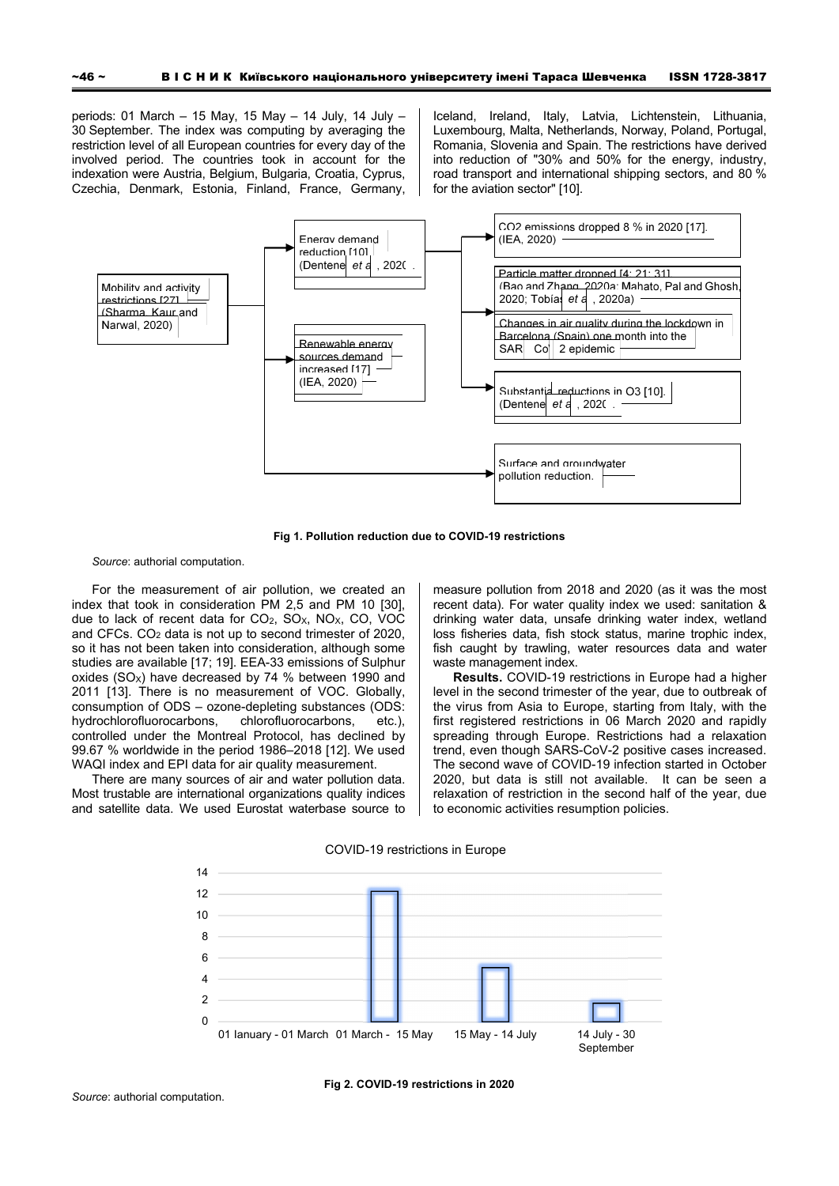periods: 01 March – 15 May, 15 May – 14 July, 14 July – 30 September. The index was computing by averaging the restriction level of all European countries for every day of the involved period. The countries took in account for the indexation were Austria, Belgium, Bulgaria, Croatia, Cyprus, Czechia, Denmark, Estonia, Finland, France, Germany, Iceland, Ireland, Italy, Latvia, Lichtenstein, Lithuania, Luxembourg, Malta, Netherlands, Norway, Poland, Portugal, Romania, Slovenia and Spain. The restrictions have derived into reduction of "30% and 50% for the energy, industry, road transport and international shipping sectors, and 80 % for the aviation sector" [10].



**Fig 1. Pollution reduction due to COVID-19 restrictions** 

*Source*: authorial computation.

For the measurement of air pollution, we created an index that took in consideration PM 2,5 and PM 10 [30], due to lack of recent data for  $CO<sub>2</sub>$ ,  $SO<sub>X</sub>$ ,  $NO<sub>X</sub>$ ,  $CO<sub>1</sub>$ , VOC and CFCs. CO<sub>2</sub> data is not up to second trimester of 2020, so it has not been taken into consideration, although some studies are available [17; 19]. EEA-33 emissions of Sulphur oxides (SO<sub>x</sub>) have decreased by 74 % between 1990 and 2011 [13]. There is no measurement of VOC. Globally, consumption of ODS – ozone-depleting substances (ODS: hydrochlorofluorocarbons, chlorofluorocarbons, etc.), controlled under the Montreal Protocol, has declined by 99.67 % worldwide in the period 1986–2018 [12]. We used WAQI index and EPI data for air quality measurement.

There are many sources of air and water pollution data. Most trustable are international organizations quality indices and satellite data. We used Eurostat waterbase source to measure pollution from 2018 and 2020 (as it was the most recent data). For water quality index we used: sanitation & drinking water data, unsafe drinking water index, wetland loss fisheries data, fish stock status, marine trophic index, fish caught by trawling, water resources data and water waste management index.

**Results.** COVID-19 restrictions in Europe had a higher level in the second trimester of the year, due to outbreak of the virus from Asia to Europe, starting from Italy, with the first registered restrictions in 06 March 2020 and rapidly spreading through Europe. Restrictions had a relaxation trend, even though SARS-CoV-2 positive cases increased. The second wave of COVID-19 infection started in October 2020, but data is still not available. It can be seen a relaxation of restriction in the second half of the year, due to economic activities resumption policies.

COVID-19 restrictions in Europe

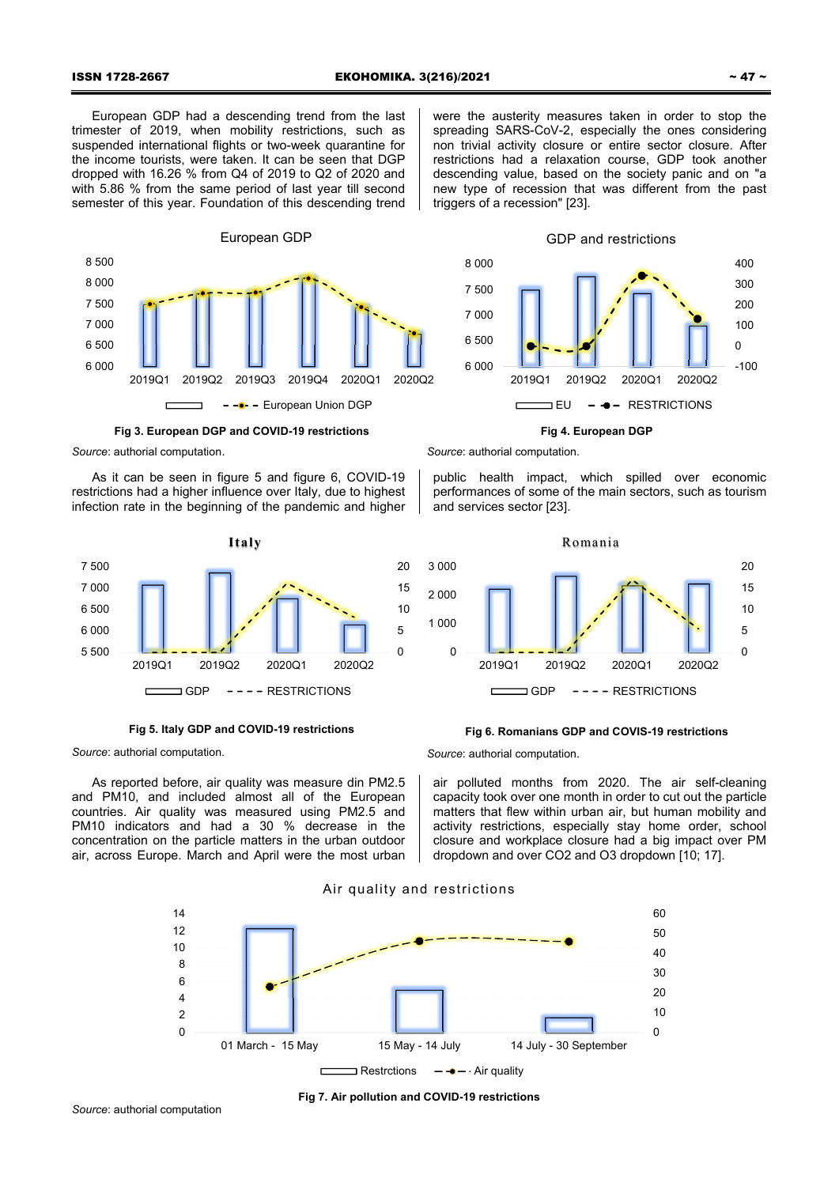European GDP had a descending trend from the last trimester of 2019, when mobility restrictions, such as suspended international flights or two-week quarantine for the income tourists, were taken. It can be seen that DGP dropped with 16.26 % from Q4 of 2019 to Q2 of 2020 and with 5.86 % from the same period of last year till second semester of this year. Foundation of this descending trend



**Fig 3. European DGP and COVID-19 restrictions** 

*Source*: authorial computation.

As it can be seen in figure 5 and figure 6, COVID-19 restrictions had a higher influence over Italy, due to highest infection rate in the beginning of the pandemic and higher



**Fig 5. Italy GDP and COVID-19 restrictions** 

*Source*: authorial computation.

As reported before, air quality was measure din PM2.5 and PM10, and included almost all of the European countries. Air quality was measured using PM2.5 and PM10 indicators and had a 30 % decrease in the concentration on the particle matters in the urban outdoor air, across Europe. March and April were the most urban





**Fig 4. European DGP** 

*Source*: authorial computation.

public health impact, which spilled over economic performances of some of the main sectors, such as tourism and services sector [23].



# **Fig 6. Romanians GDP and COVIS-19 restrictions**

*Source*: authorial computation.

air polluted months from 2020. The air self-cleaning capacity took over one month in order to cut out the particle matters that flew within urban air, but human mobility and activity restrictions, especially stay home order, school closure and workplace closure had a big impact over PM dropdown and over CO2 and O3 dropdown [10; 17].



Air quality and restrictions

**Fig 7. Air pollution and COVID-19 restrictions**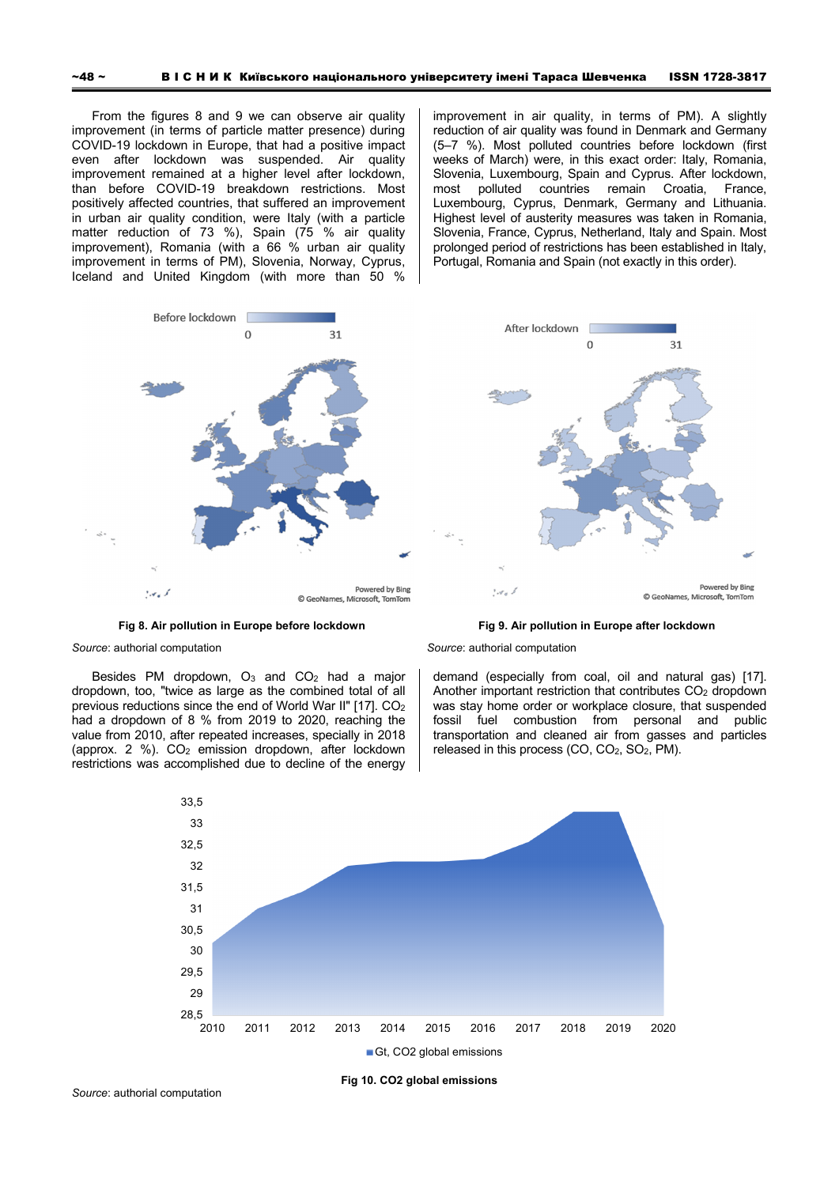From the figures 8 and 9 we can observe air quality improvement (in terms of particle matter presence) during COVID-19 lockdown in Europe, that had a positive impact even after lockdown was suspended. Air quality improvement remained at a higher level after lockdown, than before COVID-19 breakdown restrictions. Most positively affected countries, that suffered an improvement in urban air quality condition, were Italy (with a particle matter reduction of 73 %), Spain (75 % air quality improvement), Romania (with a 66 % urban air quality improvement in terms of PM), Slovenia, Norway, Cyprus, Iceland and United Kingdom (with more than 50 %

improvement in air quality, in terms of PM). A slightly reduction of air quality was found in Denmark and Germany (5–7 %). Most polluted countries before lockdown (first weeks of March) were, in this exact order: Italy, Romania, Slovenia, Luxembourg, Spain and Cyprus. After lockdown, most polluted countries remain Croatia, France, Luxembourg, Cyprus, Denmark, Germany and Lithuania. Highest level of austerity measures was taken in Romania, Slovenia, France, Cyprus, Netherland, Italy and Spain. Most prolonged period of restrictions has been established in Italy, Portugal, Romania and Spain (not exactly in this order).



**Fig 8. Air pollution in Europe before lockdown** 

**Fig 9. Air pollution in Europe after lockdown** 

demand (especially from coal, oil and natural gas) [17]. Another important restriction that contributes  $CO<sub>2</sub>$  dropdown was stay home order or workplace closure, that suspended fossil fuel combustion from personal and public transportation and cleaned air from gasses and particles

released in this process (CO, CO<sub>2</sub>, SO<sub>2</sub>, PM).

*Source*: authorial computation

*Source*: authorial computation

Besides PM dropdown,  $O_3$  and  $CO_2$  had a major dropdown, too, "twice as large as the combined total of all previous reductions since the end of World War II" [17]. CO2 had a dropdown of 8 % from 2019 to 2020, reaching the value from 2010, after repeated increases, specially in 2018 (approx. 2 %). CO2 emission dropdown, after lockdown restrictions was accomplished due to decline of the energy



**Fig 10. CO2 global emissions** 

Gt, CO2 global emissions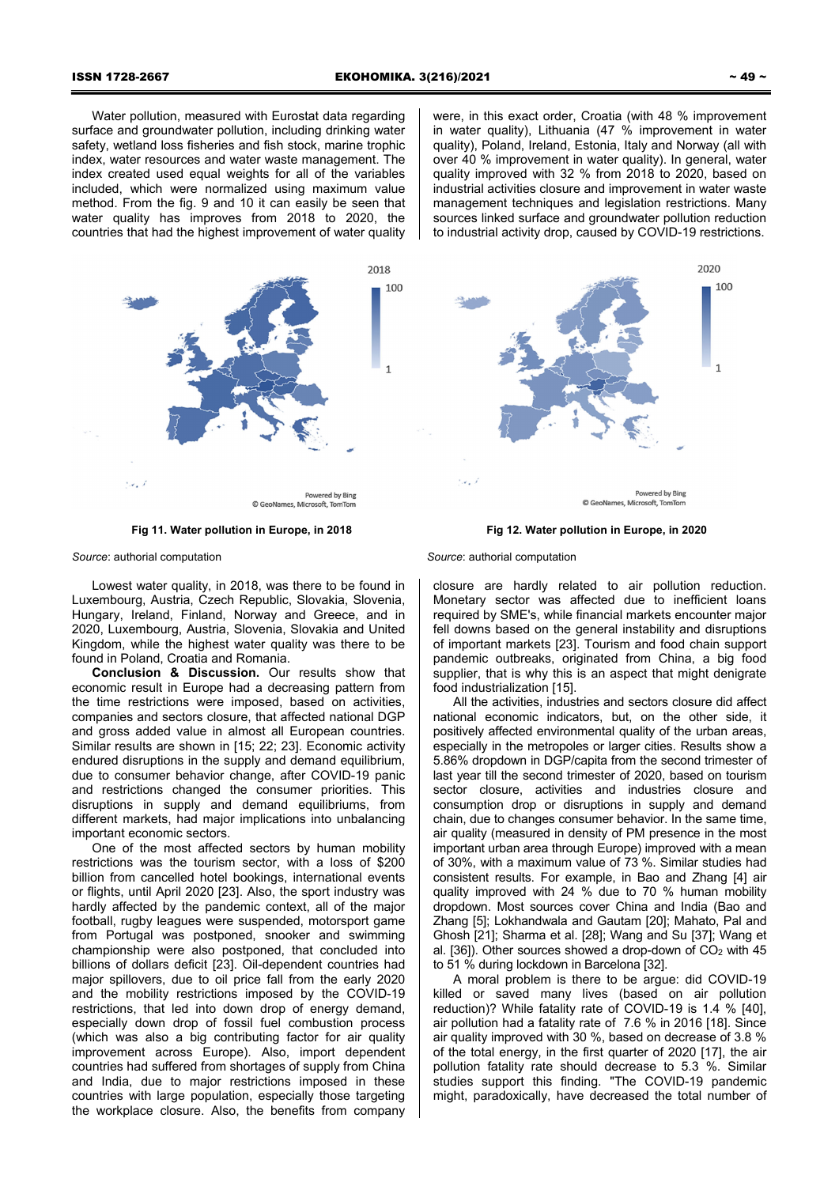Water pollution, measured with Eurostat data regarding surface and groundwater pollution, including drinking water safety, wetland loss fisheries and fish stock, marine trophic index, water resources and water waste management. The index created used equal weights for all of the variables included, which were normalized using maximum value method. From the fig. 9 and 10 it can easily be seen that water quality has improves from 2018 to 2020, the countries that had the highest improvement of water quality

were, in this exact order, Croatia (with 48 % improvement in water quality), Lithuania (47 % improvement in water quality), Poland, Ireland, Estonia, Italy and Norway (all with over 40 % improvement in water quality). In general, water quality improved with 32 % from 2018 to 2020, based on industrial activities closure and improvement in water waste management techniques and legislation restrictions. Many sources linked surface and groundwater pollution reduction to industrial activity drop, caused by COVID-19 restrictions.



**Fig 11. Water pollution in Europe, in 2018** 

*Source*: authorial computation

Lowest water quality, in 2018, was there to be found in Luxembourg, Austria, Czech Republic, Slovakia, Slovenia, Hungary, Ireland, Finland, Norway and Greece, and in 2020, Luxembourg, Austria, Slovenia, Slovakia and United Kingdom, while the highest water quality was there to be found in Poland, Croatia and Romania.

**Conclusion & Discussion.** Our results show that economic result in Europe had a decreasing pattern from the time restrictions were imposed, based on activities, companies and sectors closure, that affected national DGP and gross added value in almost all European countries. Similar results are shown in [15; 22; 23]. Economic activity endured disruptions in the supply and demand equilibrium, due to consumer behavior change, after COVID-19 panic and restrictions changed the consumer priorities. This disruptions in supply and demand equilibriums, from different markets, had major implications into unbalancing important economic sectors.

One of the most affected sectors by human mobility restrictions was the tourism sector, with a loss of \$200 billion from cancelled hotel bookings, international events or flights, until April 2020 [23]. Also, the sport industry was hardly affected by the pandemic context, all of the major football, rugby leagues were suspended, motorsport game from Portugal was postponed, snooker and swimming championship were also postponed, that concluded into billions of dollars deficit [23]. Oil-dependent countries had major spillovers, due to oil price fall from the early 2020 and the mobility restrictions imposed by the COVID-19 restrictions, that led into down drop of energy demand, especially down drop of fossil fuel combustion process (which was also a big contributing factor for air quality improvement across Europe). Also, import dependent countries had suffered from shortages of supply from China and India, due to major restrictions imposed in these countries with large population, especially those targeting the workplace closure. Also, the benefits from company

 $100$ Powered by Bing © GeoNames, Microsoft, TomTom

# **Fig 12. Water pollution in Europe, in 2020**

#### *Source*: authorial computation

closure are hardly related to air pollution reduction. Monetary sector was affected due to inefficient loans required by SME's, while financial markets encounter major fell downs based on the general instability and disruptions of important markets [23]. Tourism and food chain support pandemic outbreaks, originated from China, a big food supplier, that is why this is an aspect that might denigrate food industrialization [15].

All the activities, industries and sectors closure did affect national economic indicators, but, on the other side, it positively affected environmental quality of the urban areas, especially in the metropoles or larger cities. Results show a 5.86% dropdown in DGP/capita from the second trimester of last year till the second trimester of 2020, based on tourism sector closure, activities and industries closure and consumption drop or disruptions in supply and demand chain, due to changes consumer behavior. In the same time, air quality (measured in density of PM presence in the most important urban area through Europe) improved with a mean of 30%, with a maximum value of 73 %. Similar studies had consistent results. For example, in Bao and Zhang [4] air quality improved with 24 % due to 70 % human mobility dropdown. Most sources cover China and India (Bao and Zhang [5]; Lokhandwala and Gautam [20]; Mahato, Pal and Ghosh [21]; Sharma et al. [28]; Wang and Su [37]; Wang et al.  $[36]$ ). Other sources showed a drop-down of  $CO<sub>2</sub>$  with 45 to 51 % during lockdown in Barcelona [32].

A moral problem is there to be argue: did COVID-19 killed or saved many lives (based on air pollution reduction)? While fatality rate of COVID-19 is 1.4 % [40], air pollution had a fatality rate of 7.6 % in 2016 [18]. Since air quality improved with 30 %, based on decrease of 3.8 % of the total energy, in the first quarter of 2020 [17], the air pollution fatality rate should decrease to 5.3 %. Similar studies support this finding. "The COVID-19 pandemic might, paradoxically, have decreased the total number of

2020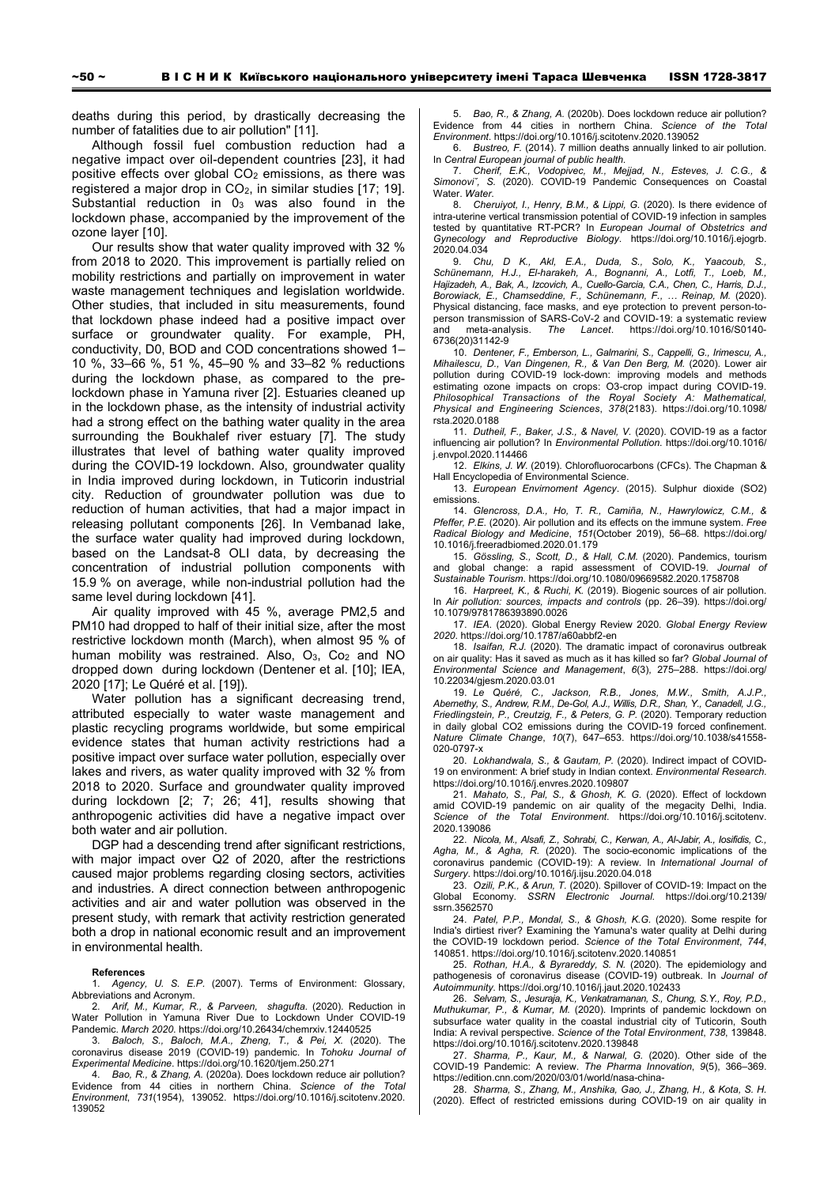deaths during this period, by drastically decreasing the number of fatalities due to air pollution" [11].

Although fossil fuel combustion reduction had a negative impact over oil-dependent countries [23], it had positive effects over global  $CO<sub>2</sub>$  emissions, as there was registered a major drop in  $CO<sub>2</sub>$ , in similar studies [17; 19]. Substantial reduction in 03 was also found in the lockdown phase, accompanied by the improvement of the ozone layer [10].

Our results show that water quality improved with 32 % from 2018 to 2020. This improvement is partially relied on mobility restrictions and partially on improvement in water waste management techniques and legislation worldwide. Other studies, that included in situ measurements, found that lockdown phase indeed had a positive impact over surface or groundwater quality. For example, PH, conductivity, D0, BOD and COD concentrations showed 1– 10 %, 33–66 %, 51 %, 45–90 % and 33–82 % reductions during the lockdown phase, as compared to the prelockdown phase in Yamuna river [2]. Estuaries cleaned up in the lockdown phase, as the intensity of industrial activity had a strong effect on the bathing water quality in the area surrounding the Boukhalef river estuary [7]. The study illustrates that level of bathing water quality improved during the COVID-19 lockdown. Also, groundwater quality in India improved during lockdown, in Tuticorin industrial city. Reduction of groundwater pollution was due to reduction of human activities, that had a major impact in releasing pollutant components [26]. In Vembanad lake, the surface water quality had improved during lockdown, based on the Landsat-8 OLI data, by decreasing the concentration of industrial pollution components with 15.9 % on average, while non-industrial pollution had the same level during lockdown [41].

Air quality improved with 45 %, average PM2,5 and PM10 had dropped to half of their initial size, after the most restrictive lockdown month (March), when almost 95 % of human mobility was restrained. Also,  $O_3$ ,  $Co_2$  and NO dropped down during lockdown (Dentener et al. [10]; IEA, 2020 [17]; Le Quéré et al. [19]).

Water pollution has a significant decreasing trend, attributed especially to water waste management and plastic recycling programs worldwide, but some empirical evidence states that human activity restrictions had a positive impact over surface water pollution, especially over lakes and rivers, as water quality improved with 32 % from 2018 to 2020. Surface and groundwater quality improved during lockdown [2; 7; 26; 41], results showing that anthropogenic activities did have a negative impact over both water and air pollution.

DGP had a descending trend after significant restrictions, with major impact over Q2 of 2020, after the restrictions caused major problems regarding closing sectors, activities and industries. A direct connection between anthropogenic activities and air and water pollution was observed in the present study, with remark that activity restriction generated both a drop in national economic result and an improvement in environmental health.

#### **References**

1. *Agency, U. S. E.P.* (2007). Terms of Environment: Glossary, Abbreviations and Acronym.

2. *Arif, M., Kumar, R., & Parveen, shagufta*. (2020). Reduction in Water Pollution in Yamuna River Due to Lockdown Under COVID-19 Pandemic. *March 2020*. https://doi.org/10.26434/chemrxiv.12440525

3. *Baloch, S., Baloch, M.A., Zheng, T., & Pei, X.* (2020). The coronavirus disease 2019 (COVID-19) pandemic. In *Tohoku Journal of Experimental Medicine*. https://doi.org/10.1620/tjem.250.271

4. *Bao, R., & Zhang, A.* (2020a). Does lockdown reduce air pollution? Evidence from 44 cities in northern China. *Science of the Total Environment*, *731*(1954), 139052. https://doi.org/10.1016/j.scitotenv.2020. 139052

5. *Bao, R., & Zhang, A.* (2020b). Does lockdown reduce air pollution? Evidence from 44 cities in northern China. *Science of the Total Environment*. https://doi.org/10.1016/j.scitotenv.2020.139052

6. *Bustreo, F.* (2014). 7 million deaths annually linked to air pollution. In *Central European journal of public health*.

7. *Cherif, E.K., Vodopivec, M., Mejjad, N., Esteves, J. C.G., & Simonoviˇ, S.* (2020). COVID-19 Pandemic Consequences on Coastal Water. *Water*.

8. *Cheruiyot, I., Henry, B.M., & Lippi, G.* (2020). Is there evidence of intra-uterine vertical transmission potential of COVID-19 infection in samples tested by quantitative RT-PCR? In *European Journal of Obstetrics and Gynecology and Reproductive Biology*. https://doi.org/10.1016/j.ejogrb. 2020.04.034

9. *Chu, D K., Akl, E.A., Duda, S., Solo, K., Yaacoub, S., Schünemann, H.J., El-harakeh, A., Bognanni, A., Lotfi, T., Loeb, M., Hajizadeh, A., Bak, A., Izcovich, A., Cuello-Garcia, C.A., Chen, C., Harris, D.J., Borowiack, E., Chamseddine, F., Schünemann, F., … Reinap, M.* (2020). Physical distancing, face masks, and eye protection to prevent person-toperson transmission of SARS-CoV-2 and COVID-19: a systematic review and meta-analysis. *The Lancet*. https://doi.org/10.1016/S0140- 6736(20)31142-9

10. *Dentener, F., Emberson, L., Galmarini, S., Cappelli, G., Irimescu, A., Mihailescu, D., Van Dingenen, R., & Van Den Berg, M.* (2020). Lower air pollution during COVID-19 lock-down: improving models and methods estimating ozone impacts on crops: O3-crop impact during COVID-19. *Philosophical Transactions of the Royal Society A: Mathematical, Physical and Engineering Sciences*, *378*(2183). https://doi.org/10.1098/ rsta.2020.0188

11. *Dutheil, F., Baker, J.S., & Navel, V.* (2020). COVID-19 as a factor influencing air pollution? In *Environmental Pollution*. https://doi.org/10.1016/ j.envpol.2020.114466

12. *Elkins, J. W.* (2019). Chlorofluorocarbons (CFCs). The Chapman & Hall Encyclopedia of Environmental Science.

13. *European Envirnoment Agency*. (2015). Sulphur dioxide (SO2) emissions.

14. *Glencross, D.A., Ho, T. R., Camiña, N., Hawrylowicz, C.M., & Pfeffer, P.E.* (2020). Air pollution and its effects on the immune system. *Free Radical Biology and Medicine*, *151*(October 2019), 56–68. https://doi.org/ 10.1016/j.freeradbiomed.2020.01.179

15. *Gössling, S., Scott, D., & Hall, C.M.* (2020). Pandemics, tourism and global change: a rapid assessment of COVID-19. *Journal of Sustainable Tourism*. https://doi.org/10.1080/09669582.2020.1758708

16. *Harpreet, K., & Ruchi, K.* (2019). Biogenic sources of air pollution. In *Air pollution: sources, impacts and controls* (pp. 26–39). https://doi.org/ 10.1079/9781786393890.0026

17. *IEA*. (2020). Global Energy Review 2020. *Global Energy Review 2020*. https://doi.org/10.1787/a60abbf2-en

18. *Isaifan, R.J.* (2020). The dramatic impact of coronavirus outbreak on air quality: Has it saved as much as it has killed so far? *Global Journal of Environmental Science and Management*, *6*(3), 275–288. https://doi.org/ 10.22034/gjesm.2020.03.01

19. *Le Quéré, C., Jackson, R.B., Jones, M.W., Smith, A.J.P., Abernethy, S., Andrew, R.M., De-Gol, A.J., Willis, D.R., Shan, Y., Canadell, J.G., Friedlingstein, P., Creutzig, F., & Peters, G. P.* (2020). Temporary reduction in daily global CO2 emissions during the COVID-19 forced confinement. *Nature Climate Change*, *10*(7), 647–653. https://doi.org/10.1038/s41558- 020-0797-x

20. *Lokhandwala, S., & Gautam, P.* (2020). Indirect impact of COVID-19 on environment: A brief study in Indian context. *Environmental Research*. https://doi.org/10.1016/j.envres.2020.109807

21. *Mahato, S., Pal, S., & Ghosh, K. G.* (2020). Effect of lockdown amid COVID-19 pandemic on air quality of the megacity Delhi, India. *Science of the Total Environment*. https://doi.org/10.1016/j.scitotenv. 2020.139086

22. *Nicola, M., Alsafi, Z., Sohrabi, C., Kerwan, A., Al-Jabir, A., Iosifidis, C., Agha, M., & Agha, R.* (2020). The socio-economic implications of the coronavirus pandemic (COVID-19): A review. In *International Journal of Surgery*. https://doi.org/10.1016/j.ijsu.2020.04.018

23. *Ozili, P.K., & Arun, T.* (2020). Spillover of COVID-19: Impact on the Global Economy. *SSRN Electronic Journal*. https://doi.org/10.2139/ ssrn.3562570

24. *Patel, P.P., Mondal, S., & Ghosh, K.G.* (2020). Some respite for India's dirtiest river? Examining the Yamuna's water quality at Delhi during the COVID-19 lockdown period. *Science of the Total Environment*, *744*, 140851. https://doi.org/10.1016/j.scitotenv.2020.140851

25. *Rothan, H.A., & Byrareddy, S. N.* (2020). The epidemiology and pathogenesis of coronavirus disease (COVID-19) outbreak. In *Journal of Autoimmunity*. https://doi.org/10.1016/j.jaut.2020.102433

26. *Selvam, S., Jesuraja, K., Venkatramanan, S., Chung, S.Y., Roy, P.D., Muthukumar, P., & Kumar, M.* (2020). Imprints of pandemic lockdown on subsurface water quality in the coastal industrial city of Tuticorin, South India: A revival perspective. *Science of the Total Environment*, *738*, 139848. https://doi.org/10.1016/j.scitotenv.2020.139848

27. *Sharma, P., Kaur, M., & Narwal, G.* (2020). Other side of the COVID-19 Pandemic: A review. *The Pharma Innovation*, *9*(5), 366–369. https://edition.cnn.com/2020/03/01/world/nasa-china-

28. *Sharma, S., Zhang, M., Anshika, Gao, J., Zhang, H., & Kota, S. H.* (2020). Effect of restricted emissions during COVID-19 on air quality in